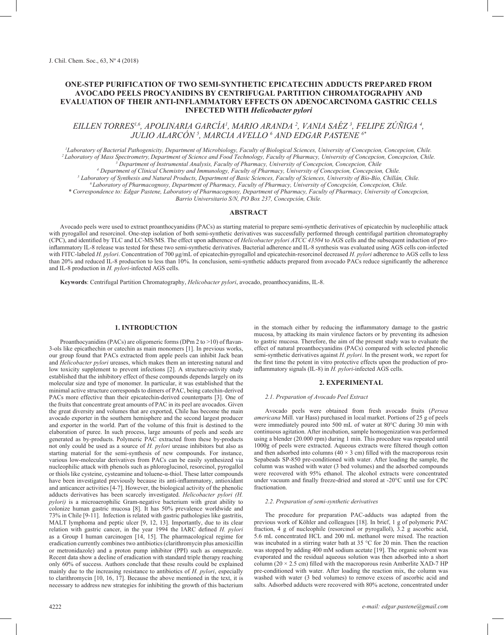# **ONE-STEP PURIFICATION OF TWO SEMI-SYNTHETIC EPICATECHIN ADDUCTS PREPARED FROM AVOCADO PEELS PROCYANIDINS BY CENTRIFUGAL PARTITION CHROMATOGRAPHY AND EVALUATION OF THEIR ANTI-INFLAMMATORY EFFECTS ON ADENOCARCINOMA GASTRIC CELLS INFECTED WITH** *Helicobacter pylori*

# *EILLEN TORRES1,6, APOLINARIA GARCÍA1 , MARIO ARANDA 2 , VANIA SAÉZ 3 , FELIPE ZÚÑIGA 4 , JULIO ALARCÓN 5 , MARCIA AVELLO 6 AND EDGAR PASTENE 6\**

*1 Laboratory of Bacterial Pathogenicity, Department of Microbiology, Faculty of Biological Sciences, University of Concepcion, Concepcion, Chile. 2 Laboratory of Mass Spectrometry, Department of Science and Food Technology, Faculty of Pharmacy, University of Concepcion, Concepcion, Chile. 3 Department of Instrumental Analysis, Faculty of Pharmacy, University of Concepcion, Concepcion, Chile 4 Department of Clinical Chemistry and Immunology, Faculty of Pharmacy, University of Concepcion, Concepcion, Chile.*

*5 Laboratory of Synthesis and Natural Products, Department of Basic Sciences, Faculty of Sciences, University of Bío-Bío, Chillán, Chile.*

*6 Laboratory of Pharmacognosy, Department of Pharmacy, Faculty of Pharmacy, University of Concepción, Concepcion, Chile.*

*\* Correspondence to: Edgar Pastene, Laboratory of Pharmacognosy, Department of Pharmacy, Faculty of Pharmacy, University of Concepcion, Barrio Universitario S/N, PO Box 237, Concepción, Chile.*

**ABSTRACT**

Avocado peels were used to extract proanthocyanidins (PACs) as starting material to prepare semi-synthetic derivatives of epicatechin by nucleophilic attack with pyrogallol and resorcinol. One-step isolation of both semi-synthetic derivatives was successfully performed through centrifugal partition chromatography (CPC), and identified by TLC and LC-MS/MS. The effect upon adherence of *Helicobacter pylori ATCC 43504* to AGS cells and the subsequent induction of proinflammatory IL-8 release was tested for these two semi-synthetic derivatives. Bacterial adherence and IL-8 synthesis was evaluated using AGS cells con-infected with FITC-labeled *H. pylori*. Concentration of 700 μg/mL of epicatechin-pyrogallol and epicatechin-resorcinol decreased *H. pylori* adherence to AGS cells to less than 20% and reduced IL-8 production to less than 10%. In conclusion, semi-synthetic adducts prepared from avocado PACs reduce significantly the adherence and IL-8 production in *H. pylori*-infected AGS cells.

**Keywords**: Centrifugal Partition Chromatography, *Helicobacter pylori*, avocado, proanthocyanidins, IL-8.

#### **1. INTRODUCTION**

Proanthocyanidins (PACs) are oligomeric forms (DPm 2 to >10) of flavan-3-ols like epicathechin or catechin as main monomers [1]. In previous works, our group found that PACs extracted from apple peels can inhibit Jack bean and *Helicobacter pylori* ureases, which makes them an interesting natural and low toxicity supplement to prevent infections [2]. A structure-activity study established that the inhibitory effect of these compounds depends largely on its molecular size and type of monomer. In particular, it was established that the minimal active structure corresponds to dimers of PAC, being catechin-derived PACs more effective than their epicatechin-derived counterparts [3]. One of the fruits that concentrate great amounts of PAC in its peel are avocados. Given the great diversity and volumes that are exported, Chile has become the main avocado exporter in the southern hemisphere and the second largest producer and exporter in the world. Part of the volume of this fruit is destined to the elaboration of puree. In such process, large amounts of peels and seeds are generated as by-products. Polymeric PAC extracted from these by-products not only could be used as a source of *H. pylori* urease inhibitors but also as starting material for the semi-synthesis of new compounds. For instance, various low-molecular derivatives from PACs can be easily synthesized via nucleophilic attack with phenols such as phloroglucinol, resorcinol, pyrogallol or thiols like cysteine, cysteamine and toluene-α-thiol. These latter compounds have been investigated previously because its anti-inflammatory, antioxidant and anticancer activities [4-7]. However, the biological activity of the phenolic adducts derivatives has been scarcely investigated. *Helicobacter pylori (H. pylori)* is a microaerophilic Gram-negative bacterium with great ability to colonize human gastric mucosa [8]. It has 50% prevalence worldwide and 73% in Chile [9-11]. Infection is related with gastric pathologies like gastritis, MALT lymphoma and peptic ulcer [9, 12, 13]. Importantly, due to its clear relation with gastric cancer, in the year 1994 the IARC defined *H. pylori* as a Group I human carcinogen [14, 15]. The pharmacological regime for eradication currently combines two antibiotics (clarithromycin plus amoxicillin or metronidazole) and a proton pump inhibitor (PPI) such as omeprazole. Recent data show a decline of eradication with standard triple therapy reaching only 60% of success. Authors conclude that these results could be explained mainly due to the increasing resistance to antibiotics of *H. pylori*, especially to clarithromycin [10, 16, 17]. Because the above mentioned in the text, it is necessary to address new strategies for inhibiting the growth of this bacterium in the stomach either by reducing the inflammatory damage to the gastric mucosa, by attacking its main virulence factors or by preventing its adhesion to gastric mucosa. Therefore, the aim of the present study was to evaluate the effect of natural proanthocyanidins (PACs) compared with selected phenolic semi-synthetic derivatives against *H. pylori*. In the present work, we report for the first time the potent in vitro protective effects upon the production of proinflammatory signals (IL-8) in *H. pylori*-infected AGS cells.

## **2. EXPERIMENTAL**

#### *2.1. Preparation of Avocado Peel Extract*

Avocado peels were obtained from fresh avocado fruits (*Persea americana* Mill. var Hass) purchased in local market. Portions of 25 g of peels were immediately poured into 500 mL of water at 80°C during 30 min with continuous agitation. After incubation, sample homogenization was performed using a blender (20.000 rpm) during 1 min. This procedure was repeated until 1000g of peels were extracted. Aqueous extracts were filtered though cotton and then adsorbed into columns ( $40 \times 3$  cm) filled with the macroporous resin Sepabeads SP-850 pre-conditioned with water. After loading the sample, the column was washed with water (3 bed volumes) and the adsorbed compounds were recovered with 95% ethanol. The alcohol extracts were concentrated under vacuum and finally freeze-dried and stored at -20°C until use for CPC fractionation.

#### *2.2. Preparation of semi-synthetic derivatives*

The procedure for preparation PAC-adducts was adapted from the previous work of Köhler and colleagues [18]. In brief, 1 g of polymeric PAC fraction, 4 g of nucleophile (resorcinol or pyrogallol), 3.2 g ascorbic acid, 5.6 mL concentrated HCL and 200 mL methanol were mixed. The reaction was incubated in a stirring water bath at 35 °C for 20 min. Then the reaction was stopped by adding 400 mM sodium acetate [19]. The organic solvent was evaporated and the residual aqueous solution was then adsorbed into a short column ( $20 \times 2.5$  cm) filled with the macroporous resin Amberlite XAD-7 HP pre-conditioned with water. After loading the reaction mix, the column was washed with water (3 bed volumes) to remove excess of ascorbic acid and salts. Adsorbed adducts were recovered with 80% acetone, concentrated under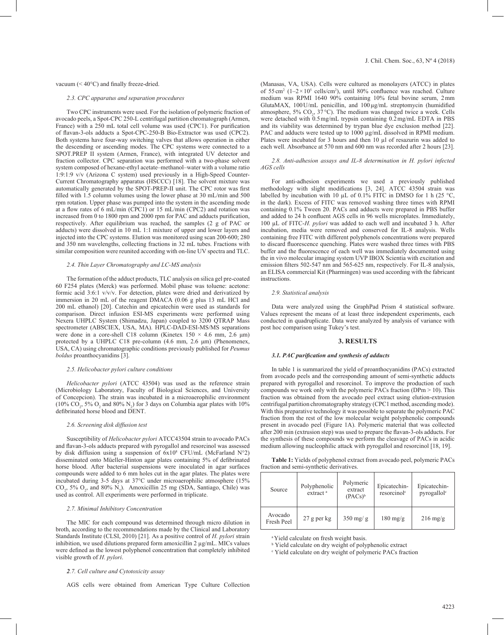## vacuum (< 40°C) and finally freeze-dried.

#### *2.3. CPC apparatus and separation procedures*

Two CPC instruments were used. For the isolation of polymeric fraction of avocado peels, a Spot-CPC 250-L centrifugal partition chromatograph (Armen, France) with a 250 mL total cell volume was used (CPC1). For purification of flavan-3-ols adducts a Spot-CPC-250-B Bio-Extractor was used (CPC2). Both systems have four-way switching valves that allows operation in either the descending or ascending modes. The CPC systems were connected to a SPOT.PREP II system (Armen, France), with integrated UV detector and fraction collector. CPC separation was performed with a two-phase solvent system composed of hexane-ethyl acetate–methanol–water with a volume ratio 1:9:1:9 v/v (Arizona C system) used previously in a High-Speed Counter-Current Chromatography apparatus (HSCCC) [18]. The solvent mixture was automatically generated by the SPOT-PREP-II unit. The CPC rotor was first filled with 1.5 column volumes using the lower phase at 30 mL/min and 500 rpm rotation. Upper phase was pumped into the system in the ascending mode at a flow rates of 6 mL/min (CPC1) or 15 mL/min (CPC2) and rotation was increased from 0 to 1800 rpm and 2000 rpm for PAC and adducts purification, respectively. After equilibrium was reached, the samples (2 g of PAC or adducts) were dissolved in 10 mL 1:1 mixture of upper and lower layers and injected into the CPC systems. Elution was monitored using scan 200-600; 280 and 350 nm wavelengths, collecting fractions in 32 mL tubes. Fractions with similar composition were reunited according with on-line UV spectra and TLC.

#### *2.4. Thin Layer Chromatography and LC-MS analysis*

The formation of the adduct products, TLC analysis on silica gel pre-coated 60 F254 plates (Merck) was performed. Mobil phase was toluene: acetone: formic acid 3:6:1 v/v/v. For detection, plates were dried and derivatized by immersion in 20 mL of the reagent DMACA (0.06 g plus 13 mL HCl and 200 mL ethanol) [20]. Catechin and epicatechin were used as standards for comparison. Direct infusion ESI-MS experiments were performed using Nexera UHPLC System (Shimadzu, Japan) coupled to 3200 QTRAP Mass spectrometer (ABSCIEX, USA, MA). HPLC-DAD-ESI-MS/MS separations were done in a core-shell C18 column (Kinetex  $150 \times 4.6$  mm, 2.6  $\mu$ m) protected by a UHPLC C18 pre-column (4.6 mm, 2.6 μm) (Phenomenex, USA, CA) using chromatographic conditions previously published for *Peumus boldus* proanthocyanidins [3].

#### *2.5. Helicobacter pylori culture conditions*

*Helicobacter pylori* (ATCC 43504) was used as the reference strain (Microbiology Laboratory, Faculty of Biological Sciences, and University of Concepcion). The strain was incubated in a microaerophilic environment (10%  $CO_2$ , 5%  $O_2$  and 80% N<sub>2</sub>) for 3 days on Columbia agar plates with 10% defibrinated horse blood and DENT.

## *2.6. Screening disk diffusion test*

Susceptibility of *Helicobacter pylori* ATCC43504 strain to avocado PACs and flavan-3-ols adducts prepared with pyrogallol and resorcinol was assessed by disk diffusion using a suspension of 6x108 CFU/mL (McFarland N°2) disseminated onto Müeller-Hinton agar plates containing 5% of defibrinated horse blood. After bacterial suspensions were inoculated in agar surfaces compounds were added to 6 mm holes cut in the agar plates. The plates were incubated during 3-5 days at 37°C under microaerophilic atmosphere (15%  $CO<sub>2</sub>$ , 5%  $O<sub>2</sub>$ , and 80% N<sub>2</sub>). Amoxicillin 25 mg (SDA, Santiago, Chile) was used as control. All experiments were performed in triplicate.

#### *2.7. Minimal Inhibitory Concentration*

The MIC for each compound was determined through micro dilution in broth, according to the recommendations made by the Clinical and Laboratory Standards Institute (CLSI, 2010) [21]. As a positive control of *H. pylori* strain inhibition, we used dilutions prepared form amoxicillin 2 µg/mL. MICs values were defined as the lowest polyphenol concentration that completely inhibited visible growth of *H. pylori*.

J. Chil. Chem. Soc., 63, Nº 4 (2018)

(Manasas, VA, USA). Cells were cultured as monolayers (ATCC) in plates of  $55 \text{ cm}^2$  ( $1-2 \times 10^5$  cells/cm<sup>2</sup>), until 80% confluence was reached. Culture medium was RPMI 1640 90% containing 10% fetal bovine serum, 2mm GlutaMAX, 100U/mL penicillin, and 100µg/mL streptomycin (humidified atmosphere,  $5\%$  CO<sub>2</sub>,  $37^{\circ}$ C). The medium was changed twice a week. Cells were detached with  $0.5 \text{ mg/mL}$  trypsin containing  $0.2 \text{ mg/mL}$  EDTA in PBS and its viability was determined by trypan blue dye exclusion method [22]. PAC and adducts were tested up to 1000 µg/mL dissolved in RPMI medium. Plates were incubated for 3 hours and then 10 µl of resazurin was added to each well. Absorbance at 570 nm and 600 nm was recorded after 2 hours [23].

## *2.8. Anti-adhesion assays and IL-8 determination in H. pylori infected AGS cells*

For anti-adhesion experiments we used a previously published methodology with slight modifications [3, 24]. ATCC 43504 strain was labelled by incubation with 10  $\mu$ L of 0.1% FITC in DMSO for 1 h (25 °C, in the dark). Excess of FITC was removed washing three times with RPMI containing 0.1% Tween 20. PACs and adducts were prepared in PBS buffer and added to 24 h confluent AGS cells in 96 wells microplates. Immediately, 100 µL of FITC-*H. pylori* was added to each well and incubated 3 h. After incubation, media were removed and conserved for IL-8 analysis. Wells containing free FITC with different polyphenols concentrations were prepared to discard fluorescence quenching. Plates were washed three times with PBS buffer and the fluorescence of each well was immediately documented using the in vivo molecular imaging system UVP IBOX Scientia with excitation and emission filters 502-547 nm and 565-625 nm, respectively. For IL-8 analysis, an ELISA commercial Kit (Pharmingen) was used according with the fabricant instructions.

## *2.9. Statistical analysis*

Data were analyzed using the GraphPad Prism 4 statistical software. Values represent the means of at least three independent experiments, each conducted in quadruplicate. Data were analyzed by analysis of variance with post hoc comparison using Tukey's test.

## **3. RESULTS**

#### *3.1. PAC purification and synthesis of adducts*

In table 1 is summarized the yield of proanthocyanidins (PACs) extracted from avocado peels and the corresponding amount of semi-synthetic adducts prepared with pyrogallol and resorcinol. To improve the production of such compounds we work only with the polymeric PACs fraction (DPm > 10). This fraction was obtained from the avocado peel extract using elution-extrusion centrifugal partition chromatography strategy (CPC1 method, ascending mode). With this preparative technology it was possible to separate the polymeric PAC fraction from the rest of the low molecular weight polyphenolic compounds present in avocado peel (Figure 1A). Polymeric material that was collected after 200 min (extrusion step) was used to prepare the flavan-3-ols adducts. For the synthesis of these compounds we perform the cleavage of PACs in acidic medium allowing nucleophilic attack with pyrogallol and resorcinol [18, 19].

**Table 1:** Yields of polyphenol extract from avocado peel, polymeric PACs fraction and semi-synthetic derivatives.

| Source                | Polyphenolic<br>extract <sup>a</sup> | Polymeric<br>extract<br>$(PACS)^b$ | Epicatechin-<br>resorcinol <sup>c</sup> | Epicatechin-<br>pyrogallol <sup>c</sup> |
|-----------------------|--------------------------------------|------------------------------------|-----------------------------------------|-----------------------------------------|
| Avocado<br>Fresh Peel | $27$ g per kg                        | $350 \text{ mg/g}$                 | $180 \text{ mg/g}$                      | $216 \text{ mg/g}$                      |

<sup>a</sup> Yield calculate on fresh weight basis.

<sup>b</sup> Yield calculate on dry weight of polyphenolic extract

c Yield calculate on dry weight of polymeric PACs fraction

## *2.7. Cell culture and Cytotoxicity assay*

AGS cells were obtained from American Type Culture Collection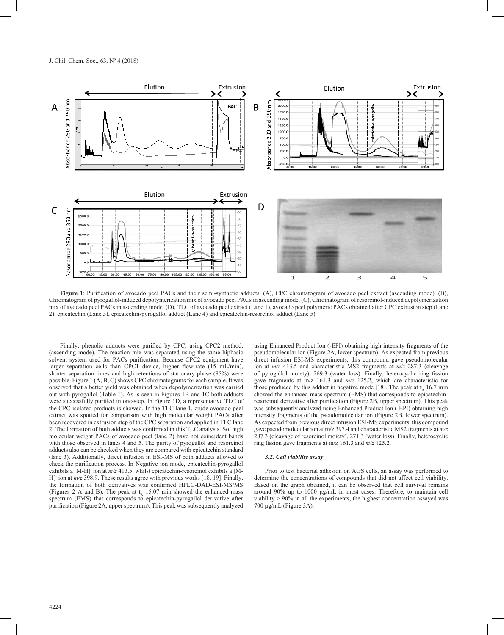

**Figure 1**: Purification of avocado peel PACs and their semi-synthetic adducts. (A), CPC chromatogram of avocado peel extract (ascending mode). (B), Chromatogram of pyrogallol-induced depolymerization mix of avocado peel PACs in ascending mode. (C), Chromatogram of resorcinol-induced depolymerization mix of avocado peel PACs in ascending mode. (D), TLC of avocado peel extract (Lane 1), avocado peel polymeric PACs obtained after CPC extrusion step (Lane 2), epicatechin (Lane 3), epicatechin-pyrogallol adduct (Lane 4) and epicatechin-resorcinol adduct (Lane 5).

Finally, phenolic adducts were purified by CPC, using CPC2 method, (ascending mode). The reaction mix was separated using the same biphasic solvent system used for PACs purification. Because CPC2 equipment have larger separation cells than CPC1 device, higher flow-rate (15 mL/min), shorter separation times and high retentions of stationary phase (85%) were possible. Figure 1 (A, B, C) shows CPC chromatograms for each sample. It was observed that a better yield was obtained when depolymerization was carried out with pyrogallol (Table 1). As is seen in Figures 1B and 1C both adducts were successfully purified in one-step. In Figure 1D, a representative TLC of the CPC-isolated products is showed. In the TLC lane 1, crude avocado peel extract was spotted for comparison with high molecular weight PACs after been recovered in extrusion step of the CPC separation and applied in TLC lane 2. The formation of both adducts was confirmed in this TLC analysis. So, high molecular weight PACs of avocado peel (lane 2) have not coincident bands with those observed in lanes 4 and 5. The purity of pyrogallol and resorcinol adducts also can be checked when they are compared with epicatechin standard (lane 3). Additionally, direct infusion in ESI-MS of both adducts allowed to check the purification process. In Negative ion mode, epicatechin-pyrogallol exhibits a [M-H]<sup>-</sup> ion at  $m/z$  413.5, whilst epicatechin-resorcinol exhibits a [M-H]- ion at *m/z* 398.9. These results agree with previous works [18, 19]. Finally, the formation of both derivatives was confirmed HPLC-DAD-ESI-MS/MS (Figures 2 A and B). The peak at  $t<sub>R</sub>$  15.07 min showed the enhanced mass spectrum (EMS) that corresponds to epicatechin-pyrogallol derivative after purification (Figure 2A, upper spectrum). This peak was subsequently analyzed

using Enhanced Product Ion (-EPI) obtaining high intensity fragments of the pseudomolecular ion (Figure 2A, lower spectrum). As expected from previous direct infusion ESI-MS experiments, this compound gave pseudomolecular ion at *m/z* 413.5 and characteristic MS2 fragments at *m/z* 287.3 (cleavage of pyrogallol moiety), 269.3 (water loss). Finally, heterocyclic ring fission gave fragments at m/z 161.3 and *m/z* 125.2, which are characteristic for those produced by this adduct in negative mode [18]. The peak at  $t<sub>p</sub>$  16.7 min showed the enhanced mass spectrum (EMS) that corresponds to epicatechinresorcinol derivative after purification (Figure 2B, upper spectrum). This peak was subsequently analyzed using Enhanced Product Ion (-EPI) obtaining high intensity fragments of the pseudomolecular ion (Figure 2B, lower spectrum). As expected from previous direct infusion ESI-MS experiments, this compound gave pseudomolecular ion at m/z 397.4 and characteristic MS2 fragments at *m/z* 287.3 (cleavage of resorcinol moiety), 271.3 (water loss). Finally, heterocyclic ring fission gave fragments at m/z 161.3 and *m/z* 125.2.

## *3.2. Cell viability assay*

Prior to test bacterial adhesion on AGS cells, an assay was performed to determine the concentrations of compounds that did not affect cell viability. Based on the graph obtained, it can be observed that cell survival remains around 90% up to 1000 μg/mL in most cases. Therefore, to maintain cell viability > 90% in all the experiments, the highest concentration assayed was 700 μg/mL (Figure 3A).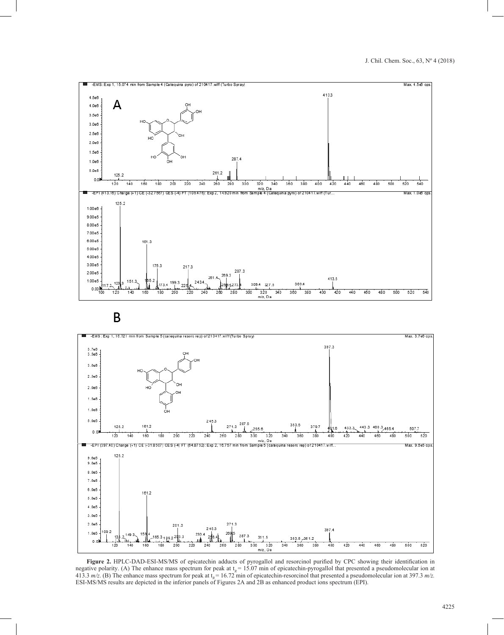





**Figure 2.** HPLC-DAD-ESI-MS/MS of epicatechin adducts of pyrogallol and resorcinol purified by CPC showing their identification in negative polarity. (A) The enhance mass spectrum for peak at  $t<sub>R</sub> = 15.07$  min of epicatechin-pyrogallol that presented a pseudomolecular ion at 413.3  $m/z$ . (B) The enhance mass spectrum for peak at  $t<sub>g</sub> = 16.72$  min of epicatechin-resorcinol that presented a pseudomolecular ion at 397.3 m/z.<br>ESI-MS/MS results are depicted in the inferior panels of Figures 2A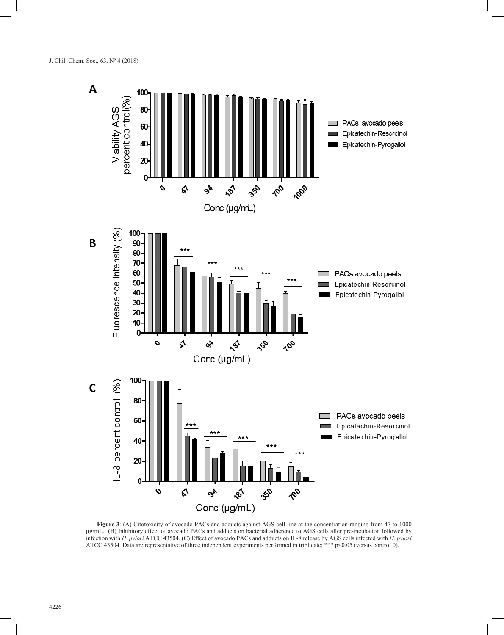

Figure 3: (A) Citotoxicity of avocado PACs and adducts against AGS cell line at the concentration ranging from 47 to 1000 µg/mL. (B) Inhibitory effect of avocado PACs and adducts on bacterial adherence to AGS cells after pre-incubation followed by infection with *H. pylori* ATCC 43504. (C) Effect of avocado PACs and adducts on IL-8 release by AGS cells infected with *H. pylori* ATCC 43504*.* Data are representative of three independent experiments performed in triplicate; \*\*\* p<0.05 (versus control 0).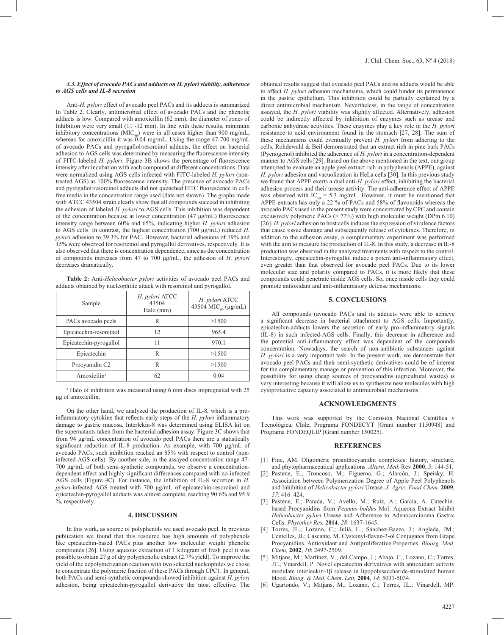#### *3.3. Effect of avocado PACs and adducts on H. pylori viability, adherence to AGS cells and IL-8 secretion*

Anti-*H. pylori* effect of avocado peel PACs and its adducts is summarized In Table 2. Clearly, antimicrobial effect of avocado PACs and the phenolic adducts is low. Compared with amoxicillin (62 mm), the diameter of zones of Inhibition were very small (11 -12 mm). In line with these results, minimum inhibitory concentrations ( $MIC<sub>oo</sub>$ ) were in all cases higher than 900 mg/mL, whereas for amoxicillin it was  $0.04$  mg/mL. Using the range 47-700 mg/mL of avocado PACs and pyrogallol/resorcinol adducts, the effect on bacterial adhesion to AGS cells was determined by measuring the fluorescence intensity of FITC-labeled *H. pylori*. Figure 3B shows the percentage of fluorescence intensity after incubation with each compound at different concentrations. Data were normalized using AGS cells infected with FITC-labeled *H. pylori* (nontreated AGS) as 100% fluorescence intensity. The presence of avocado PACs and pyrogallol/resorcinol adducts did not quenched FITC fluorescence in cellfree media in the concentration range used (data not shown). The graphs made with ATCC 43504 strain clearly show that all compounds succeed in inhibiting the adhesion of labeled *H. pylori* to AGS cells. This inhibition was dependent of the concentration because at lower concentration (47 μg/mL) fluorescence intensity range between 60% and 65%, indicating higher *H. pylori* adhesion to AGS cells. In contrast, the highest concentration (700 μg/mL) reduced *H. pylori* adhesion to 39.3% for PAC. However, bacterial adhesions of 19% and 15% were observed for resorcinol and pyrogallol derivatives, respectively. It is also observed that there is concentration dependence, since as the concentration of compounds increases from 47 to 700 μg/mL, the adhesion of *H. pylori* decreases dramatically.

**Table 2:** Anti-*Helicobacter pylori* activities of avocado peel PACs and adducts obtained by nucleophilic attack with resorcinol and pyrogallol.

| Sample                  | H. pylori ATCC<br>43504<br>Halo (mm) | H. pylori ATCC<br>43504 MIC <sub>90</sub> (μg/mL) |
|-------------------------|--------------------------------------|---------------------------------------------------|
| PACs avocado peels      | R                                    | >1500                                             |
| Epicatechin-resorcinol  | 12.                                  | 965.4                                             |
| Epicatechin-pyrogallol  | 11                                   | 970.1                                             |
| Epicatechin             | R                                    | >1500                                             |
| Procyanidin C2          | R                                    | >1500                                             |
| Amoxicilin <sup>a</sup> | 62                                   | 0.04                                              |

<sup>a</sup> Halo of inhibition was measured using 6 mm discs impregnated with 25 μg of amoxicillin.

On the other hand, we analyzed the production of IL-8, which is a proinflammatory cytokine that reflects early steps of the *H. pylori* inflammatory damage to gastric mucosa. Interlekin-8 was determined using ELISA kit on the supernatants taken from the bacterial adhesion assay. Figure 3C shows that from 94 μg/mL concentration of avocado peel PACs there are a statistically significant reduction of IL-8 production. As example, with 700 μg/mL of avocado PACs, such inhibition reached an 85% with respect to control (noninfected AGS cells). By another side, in the assayed concentration range 47- 700 μg/mL of both semi-synthetic compounds, we observe a concentrationdependent effect and highly significant differences compared with no-infected AGS cells (Figure 4C). For instance, the inhibition of IL-8 secretion in *H. pylori*-infected AGS treated with 700 μg/mL of epicatechin-resorcinol and epicatechin-pyrogallol adducts was almost complete, reaching 90.6% and 95.9 %, respectively.

## **4. DISCUSSION**

In this work, as source of polyphenols we used avocado peel. In previous publication we found that this resource has high amounts of polyphenols like epicatechin-based PACs plus another low molecular weight phenolic compounds [26]. Using aqueous extraction of 1 kilogram of fresh peel it was possible to obtain 27 g of dry polyphenolic extract (2.7% yield). To improve the yield of the depolymerization reaction with two selected nucleophiles we chose to concentrate the polymeric fraction of these PACs through CPC1. In general, both PACs and semi-synthetic compounds showed inhibition against *H. pylori*  adhesion, being epicatechin-pyrogallol derivative the most effective. The obtained results suggest that avocado peel PACs and its adducts would be able to affect *H. pylori* adhesion mechanisms, which could hinder its permanence in the gastric epithelium. This inhibition could be partially explained by a direct antimicrobial mechanism. Nevertheless, in the range of concentration assayed, the *H. pylori* viability was slightly affected. Alternatively, adhesion could be indirectly affected by inhibition of enzymes such as urease and carbonic anhydrase activities. These enzymes play a key role in the *H. pylori* resistance to acid environment found in the stomach [27, 28]. The sum of these mechanisms could eventually prevent *H. pylori* from adhering to the cells. Rohdewald & Beil demonstrated that an extract rich in pine bark PACs (Pycnogenol) inhibited the adherence of *H. pylori* in a concentration-dependent manner to AGS cells [29]. Based on the above mentioned in the text, our group attempted to evaluate an apple peel extract rich in polyphenols (APPE), against *H. pylori* adhesion and vacuolization in HeLa cells [30]. In this previous study we found that APPE exerts a dual anti-*H. pylori* effect, inhibiting the bacterial adhesion process and their urease activity. The anti-adherence effect of APPE was observed with  $IC_{50} = 5.3$  mg/mL. However, it must be mentioned that APPE extracts has only a 22 % of PACs and 58% of flavonoids whereas the avocado PACs used in the present study were concentrated by CPC and contain exclusively polymeric PACs ( $> 77\%$ ) with high molecular weight (DPm 6.10) [26]. *H. pylori* adhesion to host cells induces the expression of virulence factors that cause tissue damage and subsequently release of cytokines. Therefore, in addition to the adhesion assay, a complementary experiment was performed with the aim to measure the production of IL-8. In this study, a decrease in IL-8 production was observed in the analyzed treatments with respect to the control. Interestingly, epicatechin-pyrogallol induce a potent anti-inflammatory effect, even greater than that observed for avocado peel PACs. Due to its lower molecular size and polarity compared to PACs, it is more likely that these compounds could penetrate inside AGS cells. So, once inside cells they could promote antioxidant and anti-inflammatory defense mechanisms.

## **5. CONCLUSIONS**

All compounds (avocado PACs and its adducts were able to achieve a significant decrease in bacterial attachment to AGS cells. Importantly, epicatechin-adducts lowers the secretion of early pro-inflammatory signals (IL-8) in such infected-AGS cells. Finally, this decrease in adherence and the potential anti-inflammatory effect was dependent of the compounds concentration. Nowadays, the search of non-antibiotic substances against *H. pylori* is a very important task. In the present work, we demonstrate that avocado peel PACs and their semi-synthetic derivatives could be of interest for the complementary manage or prevention of this infection. Moreover, the possibility for using cheap sources of procyanidins (agricultural wastes) is very interesting because it will allow us to synthesize new molecules with high cytoprotective capacity associated to antimicrobial mechanisms.

## **ACKNOWLEDGMENTS**

This work was supported by the Comisión Nacional Científica y Tecnológica, Chile, Programa FONDECYT [Grant number 1150948] and Programa FONDEQUIP [Grant number 150025].

#### **REFERENCES**

- [1] Fine, AM. Oligomeric proanthocyanidin complexes: history, structure, and phytopharmaceutical applications. *Altern. Med*. Rev **2000**, *5*: 144-51.
- Pastene, E.; Troncoso, M.; Figueroa, G.; Alarcón, J.; Speisky, H. Association between Polymerization Degree of Apple Peel Polyphenols and Inhibition of *Helicobacter pylori* Urease. *J. Agric. Food Chem,* **2009**, *57*: 416–424.
- [3] Pastene, E.; Parada, V.; Avello, M.; Ruiz, A.; García, A. Catechinbased Procyanidins from *Peumus boldus* Mol. Aqueous Extract Inhibit *Helicobacter pylori* Urease and Adherence to Adenocarcinoma Gastric Cells. *Phytother Res,* **2014***, 28*: 1637-1645.
- [4] Torres, JL.; Lozano, C.; Juliá, L.; Sánchez-Baeza, J.; Anglada, JM.; Centelles, JJ.; Cascante, M. Cysteinyl-flavan-3-ol Conjugates from Grape Procyanidins. Antioxidant and Antiproliferative Properties. *Bioorg. Med. Chem,* **2002**, *10*: 2497-2509.
- [5] Mitjans, M.; Martínez, V.; del Campo, J.; Abajo, C.; Lozano, C.; Torres, JT.; Vinardell, P. Novel epicatechin derivatives with antioxidant activity modulate interleukin-1β release in lipopolysaccharide-stimulated human blood. *Bioog. & Med. Chem*. *Lett,* **2004**, *14*: 5031-5034.
- [6] Ugartondo, V.; Mitjans, M.; Lozano, C.; Torres, JL.; Vinardell, MP.